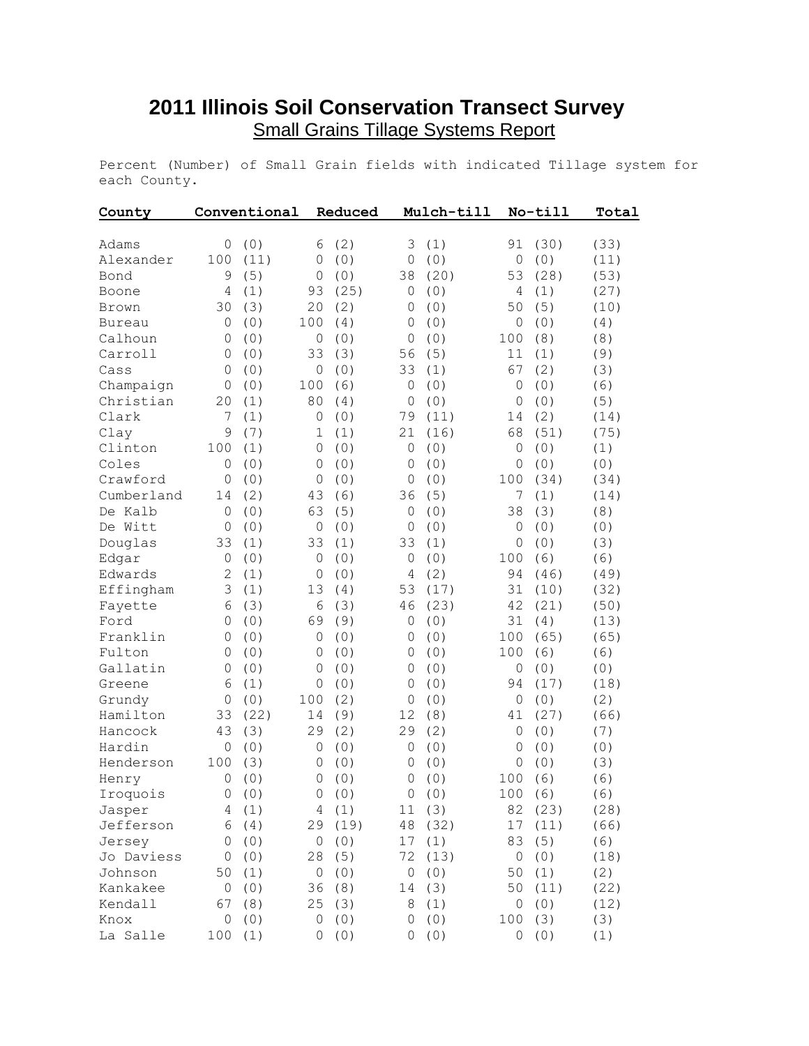## **2011 Illinois Soil Conservation Transect Survey** Small Grains Tillage Systems Report

Percent (Number) of Small Grain fields with indicated Tillage system for each County.

| County        |              | Conventional |              | Reduced |              | Mulch-till |              | No-till | Total |
|---------------|--------------|--------------|--------------|---------|--------------|------------|--------------|---------|-------|
| Adams         | 0            | (0)          | 6            | (2)     | 3            | (1)        | 91           | (30)    | (33)  |
| Alexander     | 100          | (11)         | 0            | (0)     | 0            | (0)        | $\circ$      | (0)     | (11)  |
| Bond          | 9            | (5)          | 0            | (0)     | 38           | (20)       | 53           | (28)    | (53)  |
| Boone         | 4            | (1)          | 93           | (25)    | 0            | (0)        | 4            | (1)     | (27)  |
| Brown         | 30           | (3)          | 20           | (2)     | 0            | (0)        | 50           | (5)     | (10)  |
| <b>Bureau</b> | 0            | (0)          | 100          | (4)     | 0            | (0)        | 0            | (0)     | (4)   |
| Calhoun       | 0            | (0)          | $\mathbf 0$  | (0)     | 0            | (0)        | 100          | (8)     | (8)   |
| Carroll       | 0            | (0)          | 33           | (3)     | 56           | (5)        | 11           | (1)     | (9)   |
| Cass          | 0            | (0)          | 0            | (0)     | 33           | (1)        | 67           | (2)     | (3)   |
| Champaign     | 0            | (0)          | 100          | (6)     | $\circ$      | (0)        | 0            | (0)     | (6)   |
| Christian     | 20           | (1)          | 80           | (4)     | $\circ$      | (0)        | 0            | (0)     | (5)   |
| Clark         | 7            | (1)          | 0            | (0)     | 79           | (11)       | 14           | (2)     | (14)  |
| Clay          | 9            | (7)          | 1            | (1)     | 21           | (16)       | 68           | (51)    | (75)  |
| Clinton       | 100          | (1)          | 0            | (0)     | $\circ$      | (0)        | 0            | (0)     | (1)   |
| Coles         | $\mathbf{0}$ | (0)          | 0            | (0)     | 0            | (0)        | 0            | (0)     | (0)   |
| Crawford      | $\mathbf{0}$ | (0)          | 0            | (0)     | $\mathbf 0$  | (0)        | 100          | (34)    | (34)  |
| Cumberland    | 14           | (2)          | 43           | (6)     | 36           | (5)        | 7            | (1)     | (14)  |
| De Kalb       | $\mathbf{0}$ | (0)          | 63           | (5)     | $\circ$      | (0)        | 38           | (3)     | (8)   |
| De Witt       | $\mathbf{0}$ | (0)          | $\circ$      | (0)     | 0            | (0)        | 0            | (0)     | (0)   |
| Douglas       | 33           | (1)          | 33           | (1)     | 33           | (1)        | 0            | (0)     | (3)   |
| Edgar         | $\mathbf{0}$ | (0)          | $\circ$      | (0)     | $\mathbf 0$  | (0)        | 100          | (6)     | (6)   |
| Edwards       | $\mathbf{2}$ | (1)          | 0            | (0)     | 4            | (2)        | 94           | (46)    | (49)  |
| Effingham     | 3            | (1)          | 13           | (4)     | 53           | (17)       | 31           | (10)    | (32)  |
| Fayette       | 6            | (3)          | 6            | (3)     | 46           | (23)       | 42           | (21)    | (50)  |
| Ford          | $\mathbf{0}$ | (0)          | 69           | (9)     | $\circ$      | (0)        | 31           | (4)     | (13)  |
| Franklin      | $\mathbf{0}$ | (0)          | $\circ$      | (0)     | $\circ$      | (0)        | 100          | (65)    | (65)  |
| Fulton        | $\mathbf{0}$ | (0)          | 0            | (0)     | $\circ$      | (0)        | 100          | (6)     | (6)   |
| Gallatin      | $\mathbf{0}$ | (0)          | $\circ$      | (0)     | $\mathbf{0}$ | (0)        | $\circ$      | (0)     | (0)   |
| Greene        | 6            | (1)          | $\mathbf{0}$ | (0)     | $\circ$      | (0)        | 94           | (17)    | (18)  |
| Grundy        | $\mathbf{0}$ | (0)          | 100          | (2)     | $\circ$      | (0)        | $\mathbf{0}$ | (0)     | (2)   |
| Hamilton      | 33           | (22)         | 14           | (9)     | 12           | (8)        | 41           | (27)    | (66)  |
| Hancock       | 43           | (3)          | 29           | (2)     | 29           | (2)        | 0            | (0)     | (7)   |
| Hardin        | $\mathbf{0}$ | (0)          | $\mathbf 0$  | (0)     | $\circ$      | (0)        | 0            | (0)     | (0)   |
| Henderson     | 100          | (3)          | 0            | (0)     | 0            | (0)        | 0            | (0)     | (3)   |
| Henry         | 0            | (0)          | $\circ$      | (0)     | $\circ$      | (0)        | 100          | (6)     | (6)   |
| Iroquois      | $\circ$      | (0)          |              | 0(0)    |              | 0 (0)      | 100(6)       |         | (6)   |
| Jasper        | 4            | (1)          | 4            | (1)     |              | 11(3)      |              | 82 (23) | (28)  |
| Jefferson     | 6            | (4)          | 29           | (19)    | $4\,8$       | (32)       | 17           | (11)    | (66)  |
| Jersey        | 0            | (0)          | 0            | (0)     | 17           | (1)        | 83           | (5)     | (6)   |
| Jo Daviess    | 0            | (0)          | 28           | (5)     | 72           | (13)       | $\circ$      | (0)     | (18)  |
| Johnson       | 50           | (1)          | 0            | (0)     | $\mathsf O$  | (0)        | 50           | (1)     | (2)   |
| Kankakee      | 0            | (0)          | 36           | (8)     | 14           | (3)        | 50           | (11)    | (22)  |
| Kendall       | 67           | (8)          | 25           | (3)     | 8            | (1)        | 0            | (0)     | (12)  |
| Knox          | 0            | (0)          | $\mathbf 0$  | (0)     | 0            | (0)        | 100          | (3)     | (3)   |
| La Salle      | 100          | (1)          | 0            | (0)     | 0            | (0)        | 0            | (0)     | (1)   |